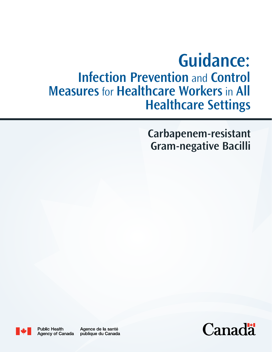# **Guidance: Infection Prevention** and **Control Measures** for **Healthcare Workers** in **All Healthcare Settings**

## **Carbapenem-resistant Gram-negative Bacilli**



**Public Health** Agency of Canada

Agence de la santé publique du Canada

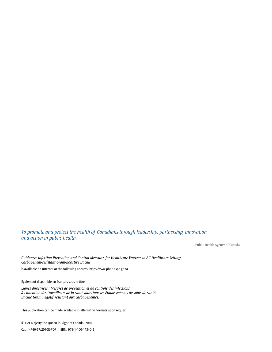*To promote and protect the health of Canadians through leadership, partnership, innovation and action in public health.*

— Public Health Agency of Canada

*Guidance: Infection Prevention and Control Measures for Healthcare Workers in All Healthcare Settings. Carbapenem-resistant Gram-negative Bacilli*

is available on Internet at the following address: http://www.phac-aspc.gc.ca

Également disponible en français sous le titre :

*Lignes directrices : Mesures de prévention et de contrôle des infections à l'intention des travailleurs de la santé dans tous les établissements de soins de santé. Bacille Gram négatif résistant aux carbapénèmes.*

This publication can be made available in alternative formats upon request.

© Her Majesty the Queen in Right of Canada, 2010 Cat.: HP40-57/2010E-PDF ISBN: 978-1-100-17340-5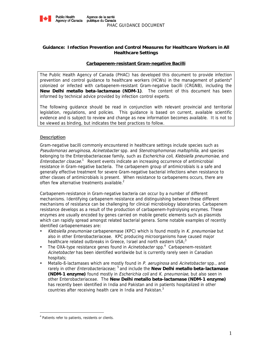

#### **Guidance: Infection Prevention and Control Measures for Healthcare Workers in All Healthcare Settings**

#### **Carbapenem-resistant Gram-negative Bacilli**

The Public Health Agency of Canada (PHAC) has developed this document to provide infection prevention and control guidance to healthcare workers (HCWs) in the management of patients<sup>a</sup> colonized or infected with carbapenem-resistant Gram-negative bacilli (CRGNB), including the **New Delhi metallo beta-lactamase (NDM-1)**. The content of this document has been informed by technical advice provided by infection control experts.

The following guidance should be read in conjunction with relevant provincial and territorial legislation, regulations, and policies. This guidance is based on current, available scientific evidence and is subject to review and change as new information becomes available. It is not to be viewed as binding, but indicates the best practices to follow.

#### **Description**

Gram-negative bacilli commonly encountered in healthcare settings include species such as Pseudomonas aeruginosa, Acinetobacter spp. and Stenotrophomonas maltophilia, and species belonging to the Enterobacteriaceae family, such as *Escherichia coli, Klebsiella pneumoniae*, and Enterobacter cloacae.<sup>1</sup> Recent events indicate an increasing occurrence of antimicrobial resistance in Gram-negative bacteria. The carbapenem group of antimicrobials is a safe and generally effective treatment for severe Gram-negative bacterial infections when resistance to other classes of antimicrobials is present. When resistance to carbapenems occurs, there are often few alternative treatments available. $2$ 

Carbapenem-resistance in Gram-negative bacteria can occur by a number of different mechanisms. Identifying carbapenem resistance and distinguishing between these different mechanisms of resistance can be challenging for clinical microbiology laboratories. Carbapenem resistance develops as a result of the production of carbapenem-hydrolysing enzymes. These enzymes are usually encoded by genes carried on mobile genetic elements such as plasmids which can rapidly spread amongst related bacterial genera. Some notable examples of recently identified carbapenemases are:

- Klebsiella pneumoniae carbapenemase (KPC) which is found mostly in K. pneumoniae but also in other Enterobacteriaceae. KPC producing microorganisms have caused major healthcare related outbreaks in Greece, Israel and north eastern  $USA<sup>3</sup>$
- The OXA-type resistance genes found in Acinetobacter spp.<sup>4</sup> Carbapenem-resistant Acinetobacter has been identified worldwide but is currently rarely seen in Canadian hospitals;
- Metallo-B-lactamases which are mostly found in P. aeruginosa and Acinetobacter spp., and rarely in other Enterobacteriaceae; 5 and include the **New Delhi metallo beta-lactamase (NDM-1 enzyme)** found mostly in Escherichia coli and K. pneumoniae, but also seen in other Enterobacteriaceae. The **New Delhi metallo beta-lactamase (NDM-1 enzyme)**  has recently been identified in India and Pakistan and in patients hospitalized in other countries after receiving health care in India and Pakistan.<sup>3</sup>

 $\overline{a}$ 

<sup>&</sup>lt;sup>a</sup> Patients refer to patients, residents or clients.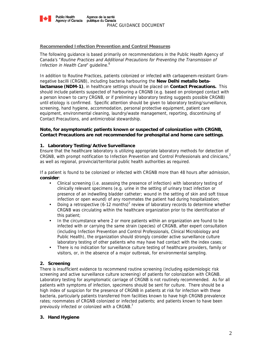

#### **Recommended Infection Prevention and Control Measures**

The following guidance is based primarily on recommendations in the Public Health Agency of Canada's "Routine Practices and Additional Precautions for Preventing the Transmission of Infection in Health Care" guideline.<sup>6</sup>

In addition to Routine Practices, patients colonized or infected with carbapenem-resistant Gramnegative bacilli (CRGNB), including bacteria harbouring the **New Delhi metallo betalactamase (NDM-1)**, in healthcare settings should be placed on **Contact Precautions.** This should include patients suspected of harbouring a CRGNB (e.g. based on prolonged contact with a person known to carry CRGNB, or if preliminary laboratory testing suggests possible CRGNB) until etiology is confirmed.Specific attention should be given to laboratory testing/surveillance, screening, hand hygiene, accommodation, personal protective equipment, patient care equipment, environmental cleaning, laundry/waste management, reporting, discontinuing of Contact Precautions, and antimicrobial stewardship.

#### **Note, for asymptomatic patients known or suspected of colonization with CRGNB, Contact Precautions are not recommended for prehospital and home care settings**.

#### **1. Laboratory Testing/Active Surveillance**

Ensure that the healthcare laboratory is utilizing appropriate laboratory methods for detection of CRGNB, with prompt notification to Infection Prevention and Control Professionals and clinicians,<sup>2</sup> as well as regional, provincial/territorial public health authorities as required.

If a patient is found to be colonized or infected with CRGNB more than 48 hours after admission, **consider**:

- Clinical screening (i.e. assessing the presence of infection) with laboratory testing of clinically relevant specimens (e.g. urine in the setting of urinary tract infection or presence of an indwelling bladder catheter; wound in the setting of skin and soft tissue infection or open wound) of any roommates the patient had during hospitalization;
- Doing a retrospective  $(6-12 \text{ months})^2$  review of laboratory records to determine whether CRGNB was circulating within the healthcare organization prior to the identification of this patient;
- In the circumstance where 2 or more patients within an organization are found to be infected with or carrying the same strain (species) of CRGNB, after expert consultation (including Infection Prevention and Control Professionals, Clinical Microbiology and Public Health), the organization should strongly consider active surveillance culture laboratory testing of other patients who may have had contact with the index cases;
- There is no indication for surveillance culture testing of healthcare providers, family or visitors, or, in the absence of a major outbreak, for environmental sampling.

#### **2. Screening**

There is insufficient evidence to recommend routine screening (including epidemiologic risk screening and active surveillance culture screening) of patients for colonization with CRGNB. Laboratory testing for asymptomatic carriage of CRGNB is not routinely recommended. As for all patients with symptoms of infection, specimens should be sent for culture. There should be a high index of suspicion for the presence of CRGNB in patients at risk for infection with these bacteria, particularly patients transferred from facilities known to have high CRGNB prevalence rates; roommates of CRGNB colonized or infected patients; and patients known to have been previously infected or colonized with a CRGNB. $<sup>7</sup>$ </sup>

#### **3. Hand Hygiene**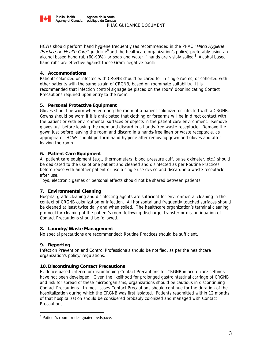

HCWs should perform hand hygiene frequently (as recommended in the PHAC "Hand Hygiene Practices in Health Care" guideline<sup>8</sup> and the healthcare organization's policy) preferably using an alcohol based hand rub (60-90%) or soap and water if hands are visibly soiled. $8$  Alcohol based hand rubs are effective against these Gram-negative bacilli.

#### **4. Accommodations**

Patients colonized or infected with CRGNB should be cared for in single rooms, or cohorted with other patients with the same strain of CRGNB, based on roommate suitability. It is recommended that infection control signage be placed on the room<sup>b</sup> door indicating Contact Precautions required upon entry to the room.

### **5. Personal Protective Equipment**

Gloves should be worn when entering the room of a patient colonized or infected with a CRGNB. Gowns should be worn if it is anticipated that clothing or forearms will be in direct contact with the patient or with environmental surfaces or objects in the patient care environment. Remove gloves just before leaving the room and discard in a hands-free waste receptacle. Remove the gown just before leaving the room and discard in a hands-free linen or waste receptacle, as appropriate. HCWs should perform hand hygiene after removing gown and gloves and after leaving the room.

### **6. Patient Care Equipment**

All patient care equipment (e.g., thermometers, blood pressure cuff, pulse oximeter, etc.) should be dedicated to the use of one patient and cleaned and disinfected as per Routine Practices before reuse with another patient or use a single use device and discard in a waste receptacle after use.

Toys, electronic games or personal effects should not be shared between patients.

#### **7. Environmental Cleaning**

Hospital-grade cleaning and disinfecting agents are sufficient for environmental cleaning in the context of CRGNB colonization or infection. All horizontal and frequently touched surfaces should be cleaned at least twice daily and when soiled. The healthcare organization's terminal cleaning protocol for cleaning of the patient's room following discharge, transfer or discontinuation of Contact Precautions should be followed.

#### **8. Laundry/Waste Management**

No special precautions are recommended; Routine Practices should be sufficient.

#### **9. Reporting**

 $\overline{a}$ 

Infection Prevention and Control Professionals should be notified, as per the healthcare organization's policy/ regulations.

#### **10. Discontinuing Contact Precautions**

Evidence based criteria for discontinuing Contact Precautions for CRGNB in acute care settings have not been developed. Given the likelihood for prolonged gastrointestinal carriage of CRGNB and risk for spread of these microorganisms, organizations should be cautious in discontinuing Contact Precautions. In most cases Contact Precautions should continue for the duration of the hospitalization during which the CRGNB was first isolated. Patients readmitted within 12 months of that hospitalization should be considered probably colonized and managed with Contact Precautions.

<sup>&</sup>lt;sup>b</sup> Patient's room or designated bedspace.